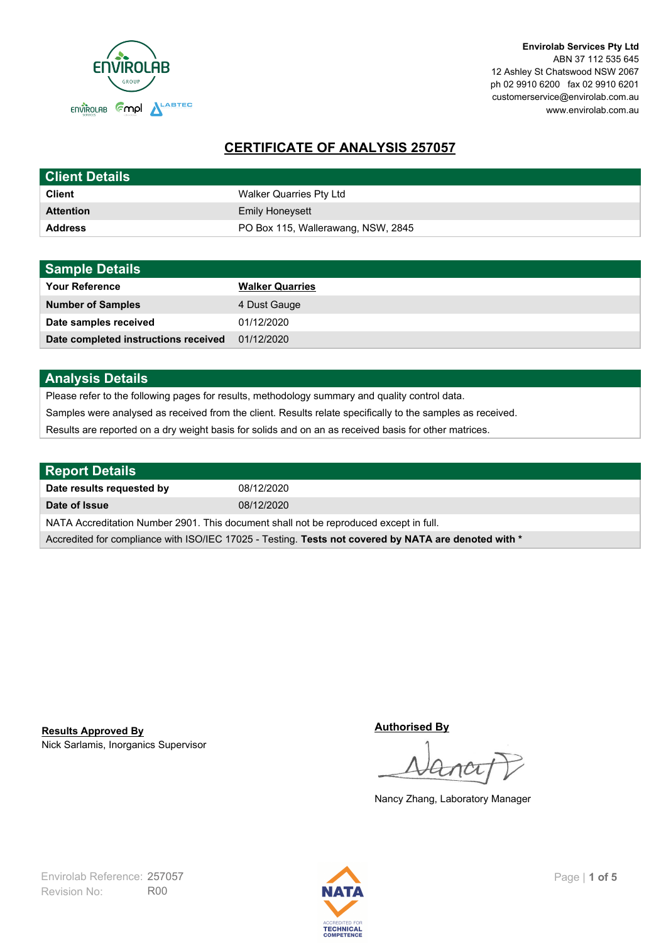

**Envirolab Services Pty Ltd** ABN 37 112 535 645 12 Ashley St Chatswood NSW 2067 ph 02 9910 6200 fax 02 9910 6201 customerservice@envirolab.com.au www.envirolab.com.au

# **CERTIFICATE OF ANALYSIS 257057**

| <b>Client Details</b> |                                    |
|-----------------------|------------------------------------|
| <b>Client</b>         | Walker Quarries Pty Ltd            |
| <b>Attention</b>      | <b>Emily Honeysett</b>             |
| <b>Address</b>        | PO Box 115, Wallerawang, NSW, 2845 |

| <b>Sample Details</b>                |                        |
|--------------------------------------|------------------------|
| <b>Your Reference</b>                | <b>Walker Quarries</b> |
| <b>Number of Samples</b>             | 4 Dust Gauge           |
| Date samples received                | 01/12/2020             |
| Date completed instructions received | 01/12/2020             |

## **Analysis Details**

Please refer to the following pages for results, methodology summary and quality control data.

Samples were analysed as received from the client. Results relate specifically to the samples as received.

Results are reported on a dry weight basis for solids and on an as received basis for other matrices.

| Report Details                                                                                       |            |  |
|------------------------------------------------------------------------------------------------------|------------|--|
| Date results requested by                                                                            | 08/12/2020 |  |
| Date of Issue                                                                                        | 08/12/2020 |  |
| NATA Accreditation Number 2901. This document shall not be reproduced except in full.                |            |  |
| Accredited for compliance with ISO/IEC 17025 - Testing. Tests not covered by NATA are denoted with * |            |  |

Nick Sarlamis, Inorganics Supervisor **Results Approved By**

**Authorised By**

Nancy Zhang, Laboratory Manager

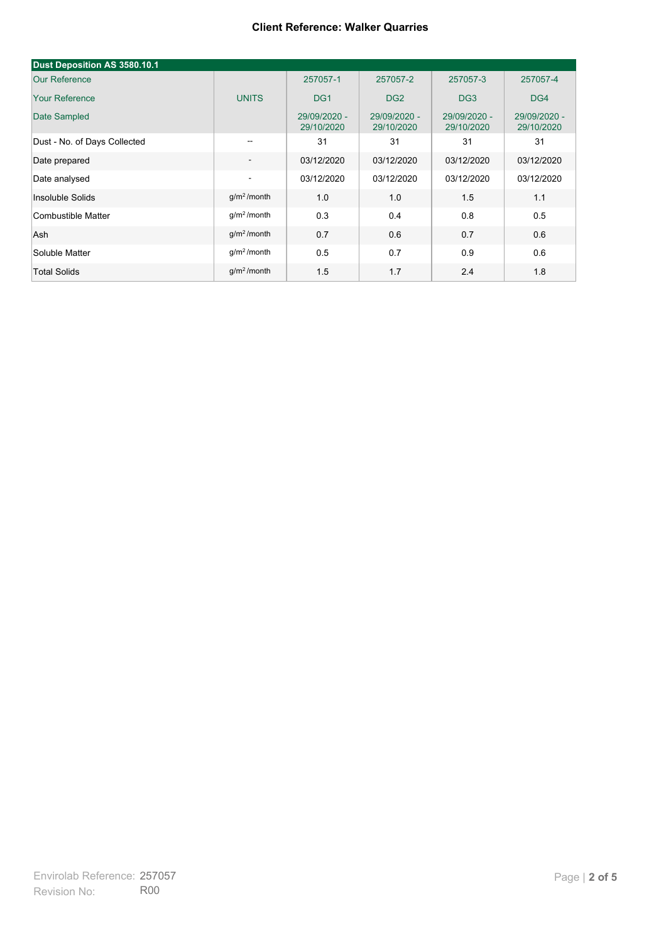| Dust Deposition AS 3580.10.1 |                          |                            |                            |                            |                            |
|------------------------------|--------------------------|----------------------------|----------------------------|----------------------------|----------------------------|
| <b>Our Reference</b>         |                          | 257057-1                   | 257057-2                   | 257057-3                   | 257057-4                   |
| <b>Your Reference</b>        | <b>UNITS</b>             | DG <sub>1</sub>            | DG <sub>2</sub>            | DG <sub>3</sub>            | DG4                        |
| Date Sampled                 |                          | 29/09/2020 -<br>29/10/2020 | 29/09/2020 -<br>29/10/2020 | 29/09/2020 -<br>29/10/2020 | 29/09/2020 -<br>29/10/2020 |
| Dust - No. of Days Collected | $\overline{\phantom{m}}$ | 31                         | 31                         | 31                         | 31                         |
| Date prepared                | $\overline{\phantom{a}}$ | 03/12/2020                 | 03/12/2020                 | 03/12/2020                 | 03/12/2020                 |
| Date analysed                | $\overline{\phantom{a}}$ | 03/12/2020                 | 03/12/2020                 | 03/12/2020                 | 03/12/2020                 |
| Insoluble Solids             | $g/m2$ /month            | 1.0                        | 1.0                        | 1.5                        | 1.1                        |
| Combustible Matter           | $q/m^2$ /month           | 0.3                        | 0.4                        | 0.8                        | 0.5                        |
| Ash                          | g/m <sup>2</sup> /month  | 0.7                        | 0.6                        | 0.7                        | 0.6                        |
| Soluble Matter               | $g/m2$ /month            | 0.5                        | 0.7                        | 0.9                        | 0.6                        |
| <b>Total Solids</b>          | g/m <sup>2</sup> /month  | 1.5                        | 1.7                        | 2.4                        | 1.8                        |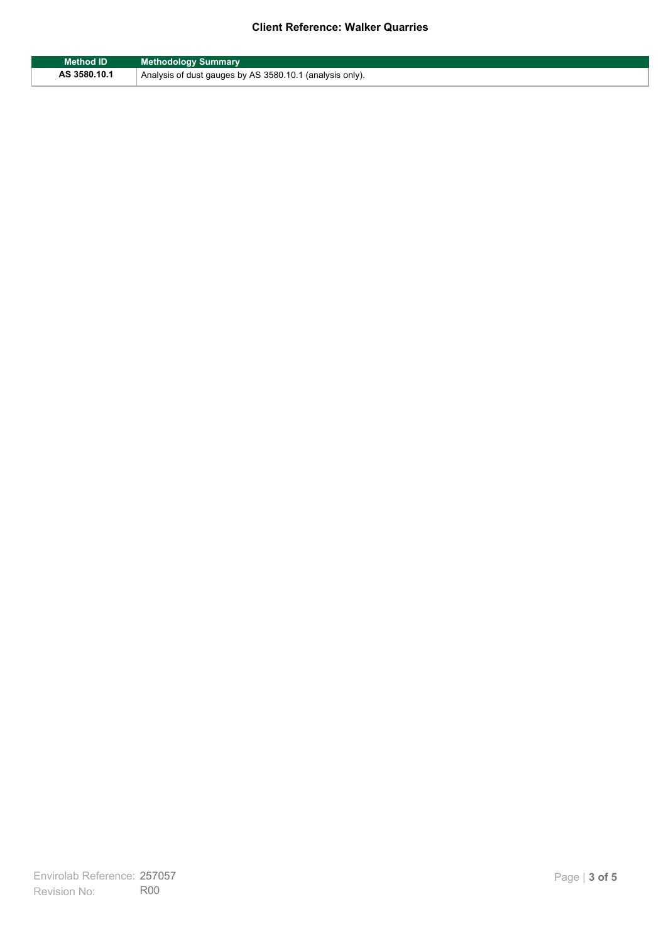| <b>Method ID</b> | <b>Methodology Summary</b>                               |
|------------------|----------------------------------------------------------|
| AS 3580.10.1     | Analysis of dust gauges by AS 3580.10.1 (analysis only). |

F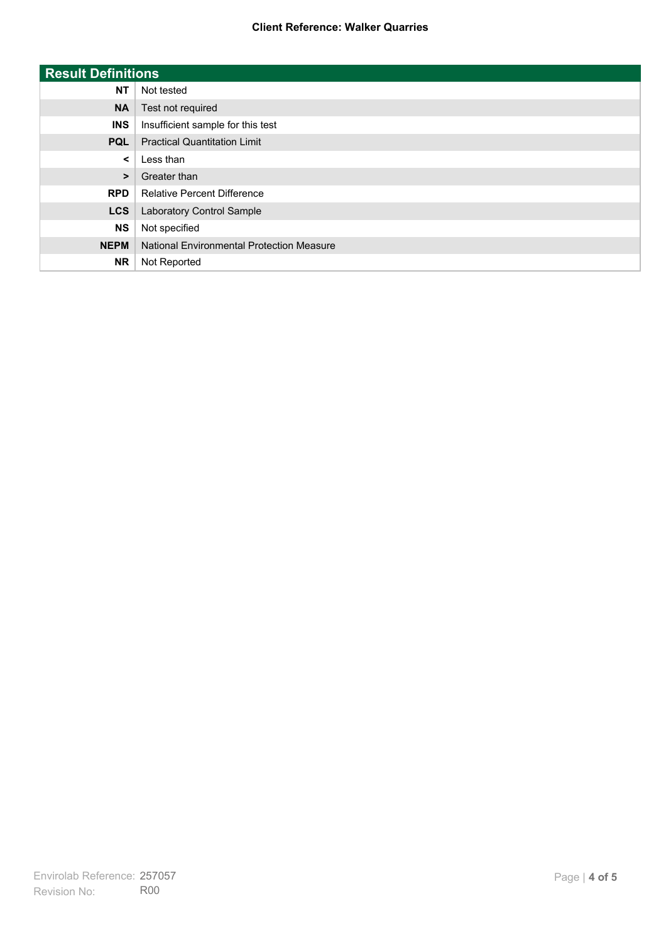| <b>Result Definitions</b> |                                           |
|---------------------------|-------------------------------------------|
| <b>NT</b>                 | Not tested                                |
| <b>NA</b>                 | Test not required                         |
| <b>INS</b>                | Insufficient sample for this test         |
| <b>PQL</b>                | <b>Practical Quantitation Limit</b>       |
| $\prec$                   | Less than                                 |
| $\geq$                    | Greater than                              |
| <b>RPD</b>                | <b>Relative Percent Difference</b>        |
| <b>LCS</b>                | Laboratory Control Sample                 |
| <b>NS</b>                 | Not specified                             |
| <b>NEPM</b>               | National Environmental Protection Measure |
| <b>NR</b>                 | Not Reported                              |